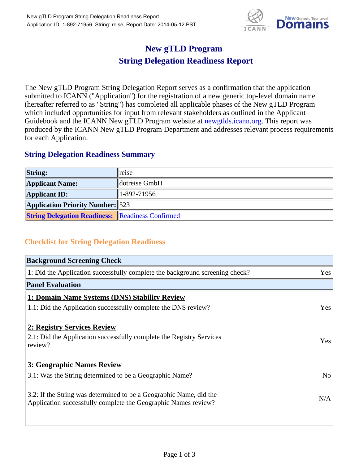

## **New gTLD Program String Delegation Readiness Report**

The New gTLD Program String Delegation Report serves as a confirmation that the application submitted to ICANN ("Application") for the registration of a new generic top-level domain name (hereafter referred to as "String") has completed all applicable phases of the New gTLD Program which included opportunities for input from relevant stakeholders as outlined in the Applicant Guidebook and the ICANN New gTLD Program website at newgtlds.icann.org. This report was produced by the ICANN New gTLD Program Department and addresses relevant process requirements for each Application.

## **String Delegation Readiness Summary**

| <b>String:</b>                                          | reise         |
|---------------------------------------------------------|---------------|
| <b>Applicant Name:</b>                                  | dotreise GmbH |
| <b>Applicant ID:</b>                                    | 1-892-71956   |
| <b>Application Priority Number:</b> 523                 |               |
| <b>String Delegation Readiness: Readiness Confirmed</b> |               |

## **Checklist for String Delegation Readiness**

| <b>Background Screening Check</b>                                                                                                    |                |
|--------------------------------------------------------------------------------------------------------------------------------------|----------------|
| 1: Did the Application successfully complete the background screening check?                                                         | Yes            |
| <b>Panel Evaluation</b>                                                                                                              |                |
| 1: Domain Name Systems (DNS) Stability Review                                                                                        |                |
| 1.1: Did the Application successfully complete the DNS review?                                                                       | Yes            |
| 2: Registry Services Review                                                                                                          |                |
| 2.1: Did the Application successfully complete the Registry Services<br>review?                                                      | Yes            |
| 3: Geographic Names Review                                                                                                           |                |
| 3.1: Was the String determined to be a Geographic Name?                                                                              | N <sub>o</sub> |
| 3.2: If the String was determined to be a Geographic Name, did the<br>Application successfully complete the Geographic Names review? | N/A            |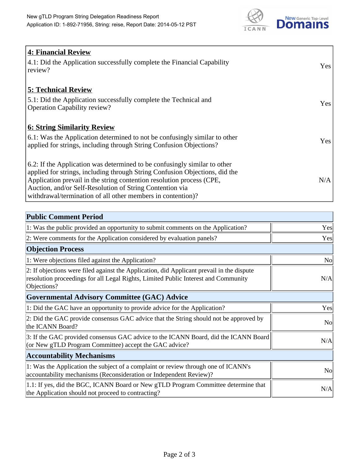

| <b>4: Financial Review</b><br>4.1: Did the Application successfully complete the Financial Capability<br>review?                                                                                                                                                                                                                                             | <b>Yes</b> |
|--------------------------------------------------------------------------------------------------------------------------------------------------------------------------------------------------------------------------------------------------------------------------------------------------------------------------------------------------------------|------------|
| <b>5: Technical Review</b><br>5.1: Did the Application successfully complete the Technical and<br><b>Operation Capability review?</b>                                                                                                                                                                                                                        | <b>Yes</b> |
| <b>6: String Similarity Review</b><br>$\vert$ 6.1: Was the Application determined to not be confusingly similar to other<br>applied for strings, including through String Confusion Objections?                                                                                                                                                              | Yes        |
| 6.2: If the Application was determined to be confusingly similar to other<br>applied for strings, including through String Confusion Objections, did the<br>Application prevail in the string contention resolution process (CPE,<br>Auction, and/or Self-Resolution of String Contention via<br>withdrawal/termination of all other members in contention)? | N/A        |

| <b>Public Comment Period</b>                                                                                                                                                                   |                |
|------------------------------------------------------------------------------------------------------------------------------------------------------------------------------------------------|----------------|
| 1: Was the public provided an opportunity to submit comments on the Application?                                                                                                               | Yes            |
| 2: Were comments for the Application considered by evaluation panels?                                                                                                                          | Yes            |
| <b>Objection Process</b>                                                                                                                                                                       |                |
| 1: Were objections filed against the Application?                                                                                                                                              | N <sub>o</sub> |
| 2: If objections were filed against the Application, did Applicant prevail in the dispute<br>resolution proceedings for all Legal Rights, Limited Public Interest and Community<br>Objections? | N/A            |
| Governmental Advisory Committee (GAC) Advice                                                                                                                                                   |                |
| 1: Did the GAC have an opportunity to provide advice for the Application?                                                                                                                      | Yes            |
| 2: Did the GAC provide consensus GAC advice that the String should not be approved by<br>the ICANN Board?                                                                                      | <b>No</b>      |
| 3: If the GAC provided consensus GAC advice to the ICANN Board, did the ICANN Board<br>(or New gTLD Program Committee) accept the GAC advice?                                                  | N/A            |
| <b>Accountability Mechanisms</b>                                                                                                                                                               |                |
| 1: Was the Application the subject of a complaint or review through one of ICANN's<br>accountability mechanisms (Reconsideration or Independent Review)?                                       | <b>No</b>      |
| 1.1: If yes, did the BGC, ICANN Board or New gTLD Program Committee determine that<br>the Application should not proceed to contracting?                                                       | N/A            |